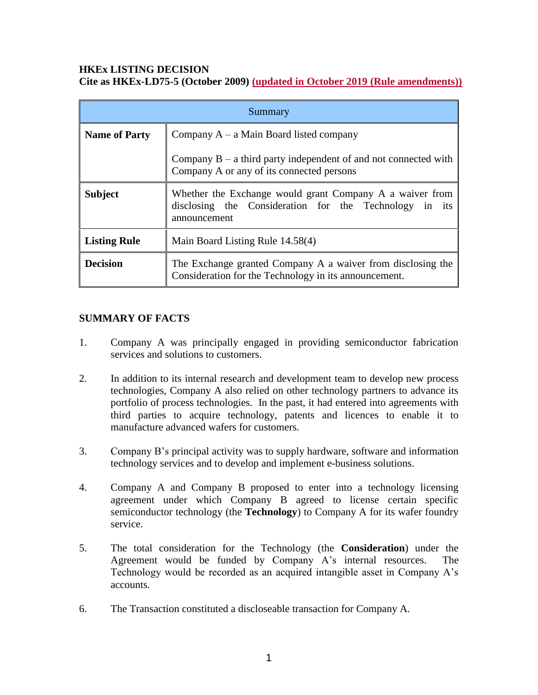### **HKEx LISTING DECISION Cite as HKEx-LD75-5 (October 2009) (updated in October 2019 (Rule amendments))**

| Summary              |                                                                                                                                    |
|----------------------|------------------------------------------------------------------------------------------------------------------------------------|
| <b>Name of Party</b> | Company $A - a$ Main Board listed company                                                                                          |
|                      | Company $B - a$ third party independent of and not connected with<br>Company A or any of its connected persons                     |
| <b>Subject</b>       | Whether the Exchange would grant Company A a waiver from<br>disclosing the Consideration for the Technology in its<br>announcement |
| <b>Listing Rule</b>  | Main Board Listing Rule 14.58(4)                                                                                                   |
| <b>Decision</b>      | The Exchange granted Company A a waiver from disclosing the<br>Consideration for the Technology in its announcement.               |

# **SUMMARY OF FACTS**

- 1. Company A was principally engaged in providing semiconductor fabrication services and solutions to customers.
- 2. In addition to its internal research and development team to develop new process technologies, Company A also relied on other technology partners to advance its portfolio of process technologies. In the past, it had entered into agreements with third parties to acquire technology, patents and licences to enable it to manufacture advanced wafers for customers.
- 3. Company B's principal activity was to supply hardware, software and information technology services and to develop and implement e-business solutions.
- 4. Company A and Company B proposed to enter into a technology licensing agreement under which Company B agreed to license certain specific semiconductor technology (the **Technology**) to Company A for its wafer foundry service.
- 5. The total consideration for the Technology (the **Consideration**) under the Agreement would be funded by Company A's internal resources. The Technology would be recorded as an acquired intangible asset in Company A's accounts.
- 6. The Transaction constituted a discloseable transaction for Company A.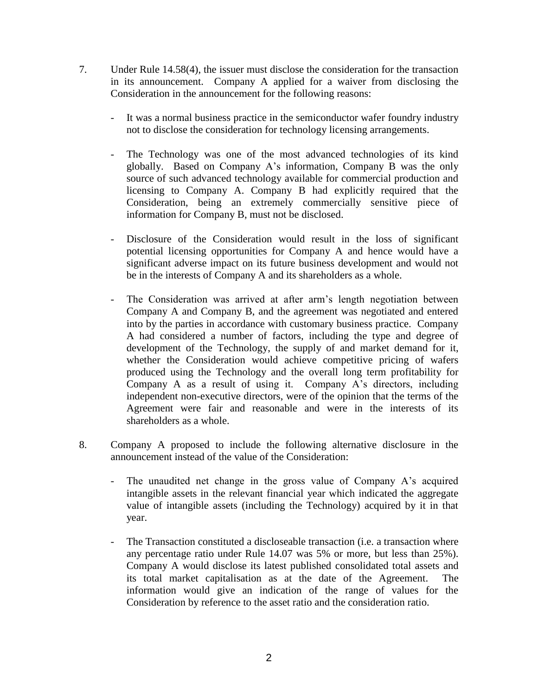- 7. Under Rule 14.58(4), the issuer must disclose the consideration for the transaction in its announcement. Company A applied for a waiver from disclosing the Consideration in the announcement for the following reasons:
	- It was a normal business practice in the semiconductor wafer foundry industry not to disclose the consideration for technology licensing arrangements.
	- The Technology was one of the most advanced technologies of its kind globally. Based on Company A's information, Company B was the only source of such advanced technology available for commercial production and licensing to Company A. Company B had explicitly required that the Consideration, being an extremely commercially sensitive piece of information for Company B, must not be disclosed.
	- Disclosure of the Consideration would result in the loss of significant potential licensing opportunities for Company A and hence would have a significant adverse impact on its future business development and would not be in the interests of Company A and its shareholders as a whole.
	- The Consideration was arrived at after arm's length negotiation between Company A and Company B, and the agreement was negotiated and entered into by the parties in accordance with customary business practice. Company A had considered a number of factors, including the type and degree of development of the Technology, the supply of and market demand for it, whether the Consideration would achieve competitive pricing of wafers produced using the Technology and the overall long term profitability for Company A as a result of using it. Company A's directors, including independent non-executive directors, were of the opinion that the terms of the Agreement were fair and reasonable and were in the interests of its shareholders as a whole.
- 8. Company A proposed to include the following alternative disclosure in the announcement instead of the value of the Consideration:
	- The unaudited net change in the gross value of Company A's acquired intangible assets in the relevant financial year which indicated the aggregate value of intangible assets (including the Technology) acquired by it in that year.
	- The Transaction constituted a discloseable transaction (i.e. a transaction where any percentage ratio under Rule 14.07 was 5% or more, but less than 25%). Company A would disclose its latest published consolidated total assets and its total market capitalisation as at the date of the Agreement. The information would give an indication of the range of values for the Consideration by reference to the asset ratio and the consideration ratio.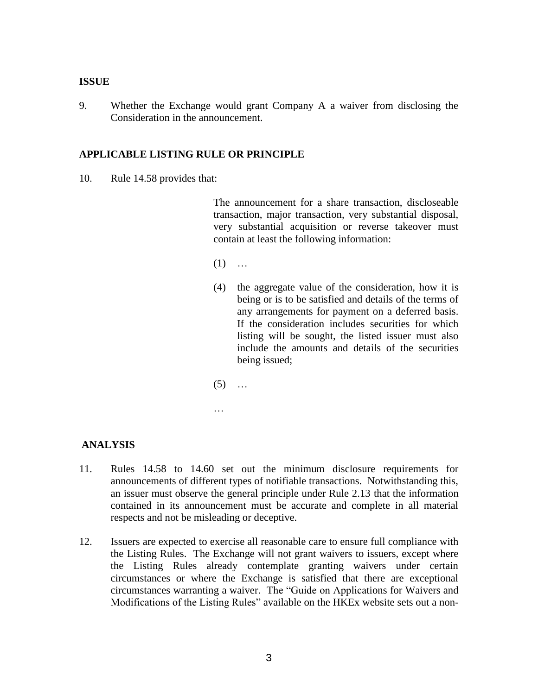#### **ISSUE**

9. Whether the Exchange would grant Company A a waiver from disclosing the Consideration in the announcement.

### **APPLICABLE LISTING RULE OR PRINCIPLE**

10. Rule 14.58 provides that:

The announcement for a share transaction, discloseable transaction, major transaction, very substantial disposal, very substantial acquisition or reverse takeover must contain at least the following information:

- $(1)$  ...
- (4) the aggregate value of the consideration, how it is being or is to be satisfied and details of the terms of any arrangements for payment on a deferred basis. If the consideration includes securities for which listing will be sought, the listed issuer must also include the amounts and details of the securities being issued;
- $(5)$  ...
- 

…

### **ANALYSIS**

- 11. Rules 14.58 to 14.60 set out the minimum disclosure requirements for announcements of different types of notifiable transactions. Notwithstanding this, an issuer must observe the general principle under Rule 2.13 that the information contained in its announcement must be accurate and complete in all material respects and not be misleading or deceptive.
- 12. Issuers are expected to exercise all reasonable care to ensure full compliance with the Listing Rules. The Exchange will not grant waivers to issuers, except where the Listing Rules already contemplate granting waivers under certain circumstances or where the Exchange is satisfied that there are exceptional circumstances warranting a waiver. The "Guide on Applications for Waivers and Modifications of the Listing Rules" available on the HKEx website sets out a non-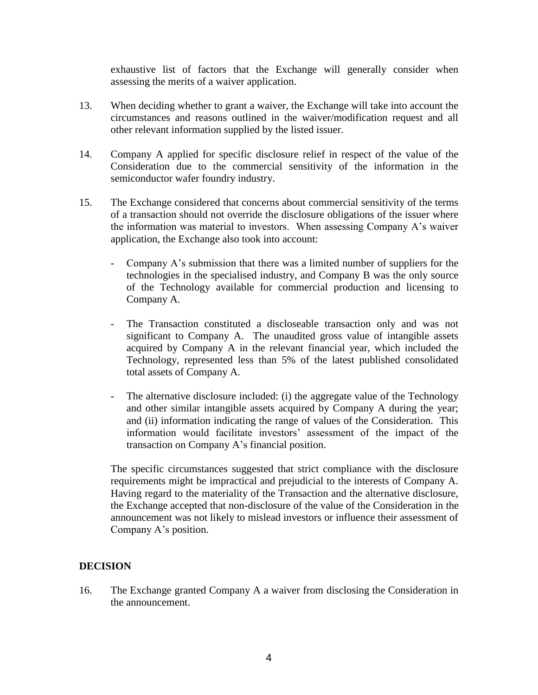exhaustive list of factors that the Exchange will generally consider when assessing the merits of a waiver application.

- 13. When deciding whether to grant a waiver, the Exchange will take into account the circumstances and reasons outlined in the waiver/modification request and all other relevant information supplied by the listed issuer.
- 14. Company A applied for specific disclosure relief in respect of the value of the Consideration due to the commercial sensitivity of the information in the semiconductor wafer foundry industry.
- 15. The Exchange considered that concerns about commercial sensitivity of the terms of a transaction should not override the disclosure obligations of the issuer where the information was material to investors. When assessing Company A's waiver application, the Exchange also took into account:
	- Company A's submission that there was a limited number of suppliers for the technologies in the specialised industry, and Company B was the only source of the Technology available for commercial production and licensing to Company A.
	- The Transaction constituted a discloseable transaction only and was not significant to Company A. The unaudited gross value of intangible assets acquired by Company A in the relevant financial year, which included the Technology, represented less than 5% of the latest published consolidated total assets of Company A.
	- The alternative disclosure included: (i) the aggregate value of the Technology and other similar intangible assets acquired by Company A during the year; and (ii) information indicating the range of values of the Consideration. This information would facilitate investors' assessment of the impact of the transaction on Company A's financial position.

The specific circumstances suggested that strict compliance with the disclosure requirements might be impractical and prejudicial to the interests of Company A. Having regard to the materiality of the Transaction and the alternative disclosure, the Exchange accepted that non-disclosure of the value of the Consideration in the announcement was not likely to mislead investors or influence their assessment of Company A's position.

# **DECISION**

16. The Exchange granted Company A a waiver from disclosing the Consideration in the announcement.